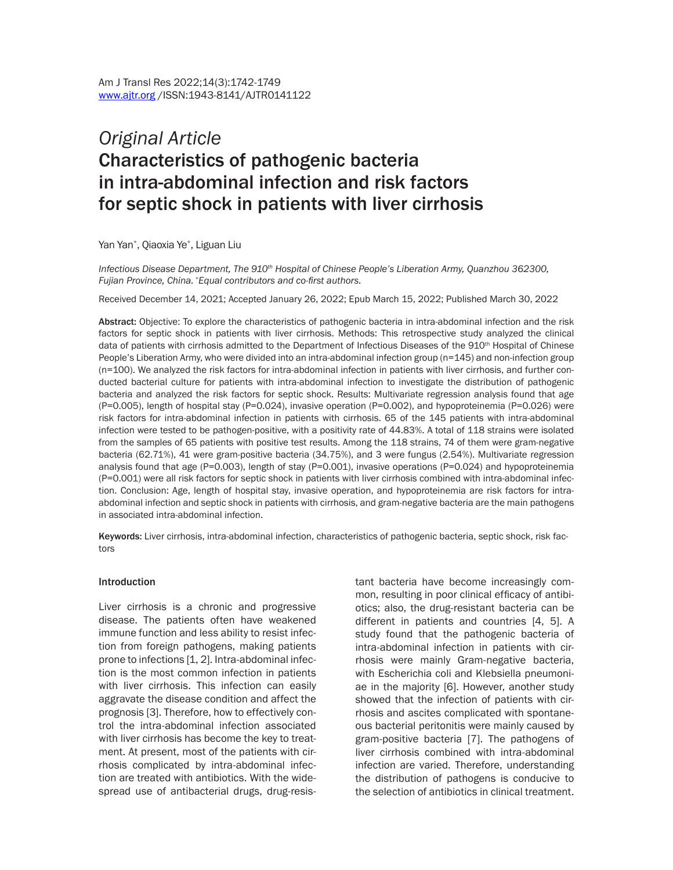# *Original Article*  Characteristics of pathogenic bacteria in intra-abdominal infection and risk factors for septic shock in patients with liver cirrhosis

Yan Yan\* , Qiaoxia Ye\* , Liguan Liu

Infectious Disease Department, The 910<sup>th</sup> Hospital of Chinese People's Liberation Army, Quanzhou 362300, *Fujian Province, China. \*Equal contributors and co-first authors.*

Received December 14, 2021; Accepted January 26, 2022; Epub March 15, 2022; Published March 30, 2022

Abstract: Objective: To explore the characteristics of pathogenic bacteria in intra-abdominal infection and the risk factors for septic shock in patients with liver cirrhosis. Methods: This retrospective study analyzed the clinical data of patients with cirrhosis admitted to the Department of Infectious Diseases of the 910<sup>th</sup> Hospital of Chinese People's Liberation Army, who were divided into an intra-abdominal infection group (n=145) and non-infection group (n=100). We analyzed the risk factors for intra-abdominal infection in patients with liver cirrhosis, and further conducted bacterial culture for patients with intra-abdominal infection to investigate the distribution of pathogenic bacteria and analyzed the risk factors for septic shock. Results: Multivariate regression analysis found that age (P=0.005), length of hospital stay (P=0.024), invasive operation (P=0.002), and hypoproteinemia (P=0.026) were risk factors for intra-abdominal infection in patients with cirrhosis. 65 of the 145 patients with intra-abdominal infection were tested to be pathogen-positive, with a positivity rate of 44.83%. A total of 118 strains were isolated from the samples of 65 patients with positive test results. Among the 118 strains, 74 of them were gram-negative bacteria (62.71%), 41 were gram-positive bacteria (34.75%), and 3 were fungus (2.54%). Multivariate regression analysis found that age (P=0.003), length of stay (P=0.001), invasive operations (P=0.024) and hypoproteinemia (P=0.001) were all risk factors for septic shock in patients with liver cirrhosis combined with intra-abdominal infection. Conclusion: Age, length of hospital stay, invasive operation, and hypoproteinemia are risk factors for intraabdominal infection and septic shock in patients with cirrhosis, and gram-negative bacteria are the main pathogens in associated intra-abdominal infection.

Keywords: Liver cirrhosis, intra-abdominal infection, characteristics of pathogenic bacteria, septic shock, risk factors

#### Introduction

Liver cirrhosis is a chronic and progressive disease. The patients often have weakened immune function and less ability to resist infection from foreign pathogens, making patients prone to infections [1, 2]. Intra-abdominal infection is the most common infection in patients with liver cirrhosis. This infection can easily aggravate the disease condition and affect the prognosis [3]. Therefore, how to effectively control the intra-abdominal infection associated with liver cirrhosis has become the key to treatment. At present, most of the patients with cirrhosis complicated by intra-abdominal infection are treated with antibiotics. With the widespread use of antibacterial drugs, drug-resistant bacteria have become increasingly common, resulting in poor clinical efficacy of antibiotics; also, the drug-resistant bacteria can be different in patients and countries [4, 5]. A study found that the pathogenic bacteria of intra-abdominal infection in patients with cirrhosis were mainly Gram-negative bacteria, with Escherichia coli and Klebsiella pneumoniae in the majority [6]. However, another study showed that the infection of patients with cirrhosis and ascites complicated with spontaneous bacterial peritonitis were mainly caused by gram-positive bacteria [7]. The pathogens of liver cirrhosis combined with intra-abdominal infection are varied. Therefore, understanding the distribution of pathogens is conducive to the selection of antibiotics in clinical treatment.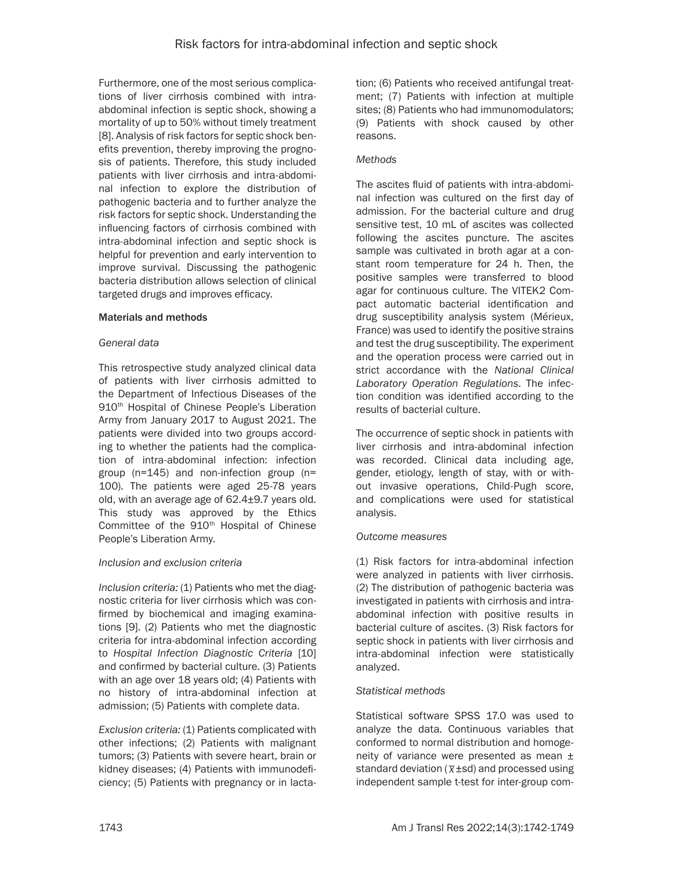Furthermore, one of the most serious complications of liver cirrhosis combined with intraabdominal infection is septic shock, showing a mortality of up to 50% without timely treatment [8]. Analysis of risk factors for septic shock benefits prevention, thereby improving the prognosis of patients. Therefore, this study included patients with liver cirrhosis and intra-abdominal infection to explore the distribution of pathogenic bacteria and to further analyze the risk factors for septic shock. Understanding the influencing factors of cirrhosis combined with intra-abdominal infection and septic shock is helpful for prevention and early intervention to improve survival. Discussing the pathogenic bacteria distribution allows selection of clinical targeted drugs and improves efficacy.

### Materials and methods

### *General data*

This retrospective study analyzed clinical data of patients with liver cirrhosis admitted to the Department of Infectious Diseases of the 910<sup>th</sup> Hospital of Chinese People's Liberation Army from January 2017 to August 2021. The patients were divided into two groups according to whether the patients had the complication of intra-abdominal infection: infection group (n=145) and non-infection group (n= 100). The patients were aged 25-78 years old, with an average age of 62.4±9.7 years old. This study was approved by the Ethics Committee of the 910<sup>th</sup> Hospital of Chinese People's Liberation Army.

# *Inclusion and exclusion criteria*

*Inclusion criteria:* (1) Patients who met the diagnostic criteria for liver cirrhosis which was confirmed by biochemical and imaging examinations [9]. (2) Patients who met the diagnostic criteria for intra-abdominal infection according to *Hospital Infection Diagnostic Criteria* [10] and confirmed by bacterial culture. (3) Patients with an age over 18 years old; (4) Patients with no history of intra-abdominal infection at admission; (5) Patients with complete data.

*Exclusion criteria:* (1) Patients complicated with other infections; (2) Patients with malignant tumors; (3) Patients with severe heart, brain or kidney diseases; (4) Patients with immunodeficiency; (5) Patients with pregnancy or in lactation; (6) Patients who received antifungal treatment; (7) Patients with infection at multiple sites; (8) Patients who had immunomodulators; (9) Patients with shock caused by other reasons.

# *Methods*

The ascites fluid of patients with intra-abdominal infection was cultured on the first day of admission. For the bacterial culture and drug sensitive test, 10 mL of ascites was collected following the ascites puncture. The ascites sample was cultivated in broth agar at a constant room temperature for 24 h. Then, the positive samples were transferred to blood agar for continuous culture. The VITEK2 Compact automatic bacterial identification and drug susceptibility analysis system (Mérieux, France) was used to identify the positive strains and test the drug susceptibility. The experiment and the operation process were carried out in strict accordance with the *National Clinical Laboratory Operation Regulations*. The infection condition was identified according to the results of bacterial culture.

The occurrence of septic shock in patients with liver cirrhosis and intra-abdominal infection was recorded. Clinical data including age, gender, etiology, length of stay, with or without invasive operations, Child-Pugh score, and complications were used for statistical analysis.

# *Outcome measures*

(1) Risk factors for intra-abdominal infection were analyzed in patients with liver cirrhosis. (2) The distribution of pathogenic bacteria was investigated in patients with cirrhosis and intraabdominal infection with positive results in bacterial culture of ascites. (3) Risk factors for septic shock in patients with liver cirrhosis and intra-abdominal infection were statistically analyzed.

# *Statistical methods*

Statistical software SPSS 17.0 was used to analyze the data. Continuous variables that conformed to normal distribution and homogeneity of variance were presented as mean ± standard deviation ( $\overline{x}$ ±sd) and processed using independent sample t-test for inter-group com-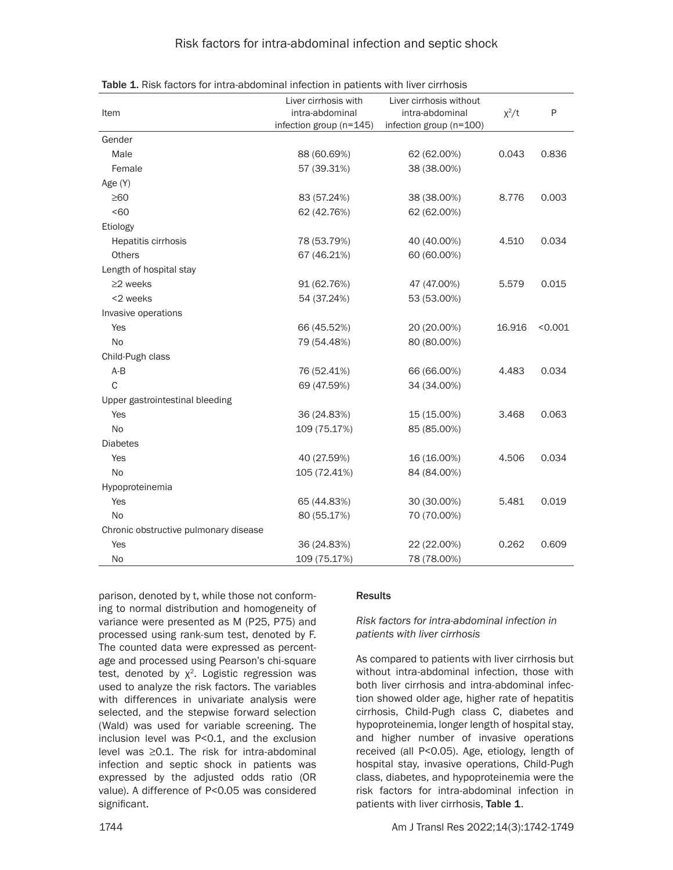| Item                                  | Liver cirrhosis with<br>intra-abdominal | Liver cirrhosis without<br>intra-abdominal | $\chi^2/t$ | P       |
|---------------------------------------|-----------------------------------------|--------------------------------------------|------------|---------|
|                                       | infection group (n=145)                 | infection group (n=100)                    |            |         |
| Gender                                |                                         |                                            |            |         |
| Male                                  | 88 (60.69%)                             | 62 (62.00%)                                | 0.043      | 0.836   |
| Female                                | 57 (39.31%)                             | 38 (38.00%)                                |            |         |
| Age (Y)                               |                                         |                                            |            |         |
| $\geq 60$                             | 83 (57.24%)                             | 38 (38.00%)                                | 8.776      | 0.003   |
| <60                                   | 62 (42.76%)                             | 62 (62.00%)                                |            |         |
| Etiology                              |                                         |                                            |            |         |
| Hepatitis cirrhosis                   | 78 (53.79%)                             | 40 (40.00%)                                | 4.510      | 0.034   |
| <b>Others</b>                         | 67 (46.21%)                             | 60 (60.00%)                                |            |         |
| Length of hospital stay               |                                         |                                            |            |         |
| $\geq$ 2 weeks                        | 91 (62.76%)                             | 47 (47.00%)                                | 5.579      | 0.015   |
| <2 weeks                              | 54 (37.24%)                             | 53 (53.00%)                                |            |         |
| Invasive operations                   |                                         |                                            |            |         |
| Yes                                   | 66 (45.52%)                             | 20 (20.00%)                                | 16.916     | < 0.001 |
| <b>No</b>                             | 79 (54.48%)                             | 80 (80.00%)                                |            |         |
| Child-Pugh class                      |                                         |                                            |            |         |
| $A-B$                                 | 76 (52.41%)                             | 66 (66.00%)                                | 4.483      | 0.034   |
| $\mathsf{C}$                          | 69 (47.59%)                             | 34 (34.00%)                                |            |         |
| Upper gastrointestinal bleeding       |                                         |                                            |            |         |
| Yes                                   | 36 (24.83%)                             | 15 (15.00%)                                | 3.468      | 0.063   |
| No                                    | 109 (75.17%)                            | 85 (85.00%)                                |            |         |
| <b>Diabetes</b>                       |                                         |                                            |            |         |
| Yes                                   | 40 (27.59%)                             | 16 (16.00%)                                | 4.506      | 0.034   |
| No                                    | 105 (72.41%)                            | 84 (84.00%)                                |            |         |
| Hypoproteinemia                       |                                         |                                            |            |         |
| Yes                                   | 65 (44.83%)                             | 30 (30.00%)                                | 5.481      | 0.019   |
| <b>No</b>                             | 80 (55.17%)                             | 70 (70.00%)                                |            |         |
| Chronic obstructive pulmonary disease |                                         |                                            |            |         |
| Yes                                   | 36 (24.83%)                             | 22 (22.00%)                                | 0.262      | 0.609   |
| No                                    | 109 (75.17%)                            | 78 (78.00%)                                |            |         |

Table 1. Risk factors for intra-abdominal infection in patients with liver cirrhosis

parison, denoted by t, while those not conforming to normal distribution and homogeneity of variance were presented as M (P25, P75) and processed using rank-sum test, denoted by F. The counted data were expressed as percentage and processed using Pearson's chi-square test, denoted by  $x^2$ . Logistic regression was used to analyze the risk factors. The variables with differences in univariate analysis were selected, and the stepwise forward selection (Wald) was used for variable screening. The inclusion level was P<0.1, and the exclusion level was ≥0.1. The risk for intra-abdominal infection and septic shock in patients was expressed by the adjusted odds ratio (OR value). A difference of P<0.05 was considered significant.

#### **Results**

### *Risk factors for intra-abdominal infection in patients with liver cirrhosis*

As compared to patients with liver cirrhosis but without intra-abdominal infection, those with both liver cirrhosis and intra-abdominal infection showed older age, higher rate of hepatitis cirrhosis, Child-Pugh class C, diabetes and hypoproteinemia, longer length of hospital stay, and higher number of invasive operations received (all P<0.05). Age, etiology, length of hospital stay, invasive operations, Child-Pugh class, diabetes, and hypoproteinemia were the risk factors for intra-abdominal infection in patients with liver cirrhosis, Table 1.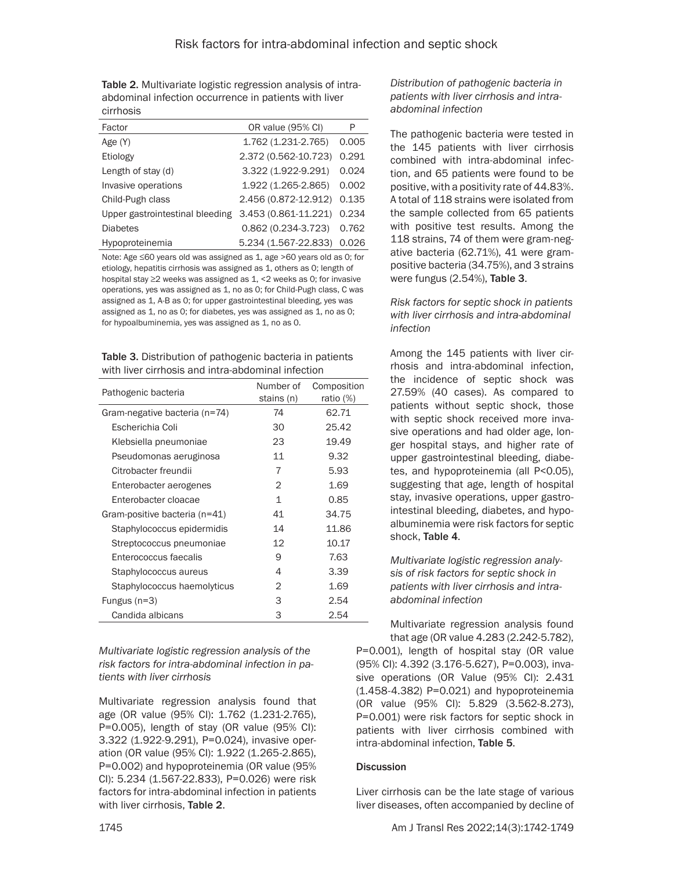Table 2. Multivariate logistic regression analysis of intraabdominal infection occurrence in patients with liver cirrhosis

| Factor                          | OR value (95% CI)          | P     |
|---------------------------------|----------------------------|-------|
| Age (Y)                         | 1.762 (1.231-2.765)        | 0.005 |
| Etiology                        | 2.372 (0.562-10.723)       | 0.291 |
| Length of stay (d)              | 3.322 (1.922-9.291)        | 0.024 |
| Invasive operations             | 1.922 (1.265-2.865)        | 0.002 |
| Child-Pugh class                | 2.456 (0.872-12.912) 0.135 |       |
| Upper gastrointestinal bleeding | 3.453 (0.861-11.221)       | 0.234 |
| <b>Diabetes</b>                 | $0.862(0.234-3.723)$       | 0.762 |
| Hypoproteinemia                 | 5.234 (1.567-22.833)       | 0.026 |

Note: Age ≤60 years old was assigned as 1, age >60 years old as 0; for etiology, hepatitis cirrhosis was assigned as 1, others as 0; length of hospital stay ≥2 weeks was assigned as 1, <2 weeks as 0; for invasive operations, yes was assigned as 1, no as 0; for Child-Pugh class, C was assigned as 1, A-B as 0; for upper gastrointestinal bleeding, yes was assigned as 1, no as 0; for diabetes, yes was assigned as 1, no as 0; for hypoalbuminemia, yes was assigned as 1, no as 0.

| <b>Table 3.</b> Distribution of pathogenic bacteria in patients |
|-----------------------------------------------------------------|
| with liver cirrhosis and intra-abdominal infection              |

| Pathogenic bacteria           | Number of<br>stains (n) | Composition<br>ratio $(\%)$ |
|-------------------------------|-------------------------|-----------------------------|
| Gram-negative bacteria (n=74) | 74                      | 62.71                       |
| Escherichia Coli              | 30                      | 25.42                       |
| Klebsiella pneumoniae         | 23                      | 19.49                       |
| Pseudomonas aeruginosa        | 11                      | 9.32                        |
| Citrobacter freundii          | 7                       | 5.93                        |
| Enterobacter aerogenes        | 2                       | 1.69                        |
| Enterobacter cloacae          | 1                       | 0.85                        |
| Gram-positive bacteria (n=41) | 41                      | 34.75                       |
| Staphylococcus epidermidis    | 14                      | 11.86                       |
| Streptococcus pneumoniae      | 12                      | 10.17                       |
| Enterococcus faecalis         | 9                       | 7.63                        |
| Staphylococcus aureus         | 4                       | 3.39                        |
| Staphylococcus haemolyticus   | 2                       | 1.69                        |
| Fungus $(n=3)$                | 3                       | 2.54                        |
| Candida albicans              | 3                       | 2.54                        |

*Multivariate logistic regression analysis of the risk factors for intra-abdominal infection in patients with liver cirrhosis*

Multivariate regression analysis found that age (OR value (95% CI): 1.762 (1.231-2.765), P=0.005), length of stay (OR value (95% CI): 3.322 (1.922-9.291), P=0.024), invasive operation (OR value (95% CI): 1.922 (1.265-2.865), P=0.002) and hypoproteinemia (OR value (95% CI): 5.234 (1.567-22.833), P=0.026) were risk factors for intra-abdominal infection in patients with liver cirrhosis, Table 2.

*Distribution of pathogenic bacteria in patients with liver cirrhosis and intraabdominal infection*

The pathogenic bacteria were tested in the 145 patients with liver cirrhosis combined with intra-abdominal infection, and 65 patients were found to be positive, with a positivity rate of 44.83%. A total of 118 strains were isolated from the sample collected from 65 patients with positive test results. Among the 118 strains, 74 of them were gram-negative bacteria (62.71%), 41 were grampositive bacteria (34.75%), and 3 strains were fungus (2.54%), Table 3.

*Risk factors for septic shock in patients with liver cirrhosis and intra-abdominal infection*

Among the 145 patients with liver cirrhosis and intra-abdominal infection, the incidence of septic shock was 27.59% (40 cases). As compared to patients without septic shock, those with septic shock received more invasive operations and had older age, longer hospital stays, and higher rate of upper gastrointestinal bleeding, diabetes, and hypoproteinemia (all P<0.05), suggesting that age, length of hospital stay, invasive operations, upper gastrointestinal bleeding, diabetes, and hypoalbuminemia were risk factors for septic shock, Table 4.

*Multivariate logistic regression analysis of risk factors for septic shock in patients with liver cirrhosis and intraabdominal infection*

Multivariate regression analysis found that age (OR value 4.283 (2.242-5.782),

P=0.001), length of hospital stay (OR value (95% CI): 4.392 (3.176-5.627), P=0.003), invasive operations (OR Value (95% CI): 2.431 (1.458-4.382) P=0.021) and hypoproteinemia (OR value (95% CI): 5.829 (3.562-8.273), P=0.001) were risk factors for septic shock in patients with liver cirrhosis combined with intra-abdominal infection, Table 5.

# **Discussion**

Liver cirrhosis can be the late stage of various liver diseases, often accompanied by decline of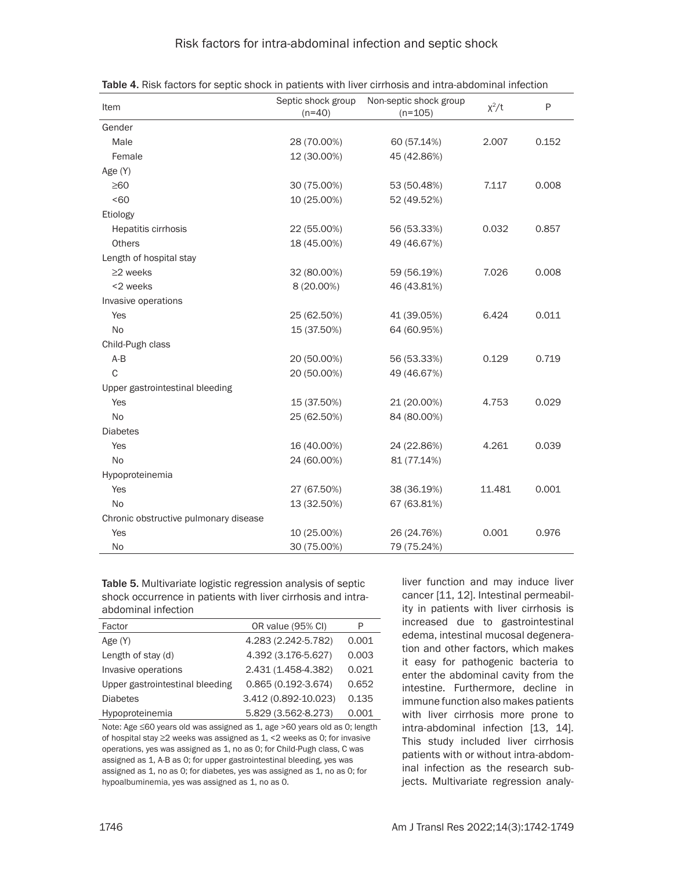# Risk factors for intra-abdominal infection and septic shock

| Item                                  | Septic shock group<br>$(n=40)$ | Non-septic shock group<br>$(n=105)$ | $x^2/t$ | P     |
|---------------------------------------|--------------------------------|-------------------------------------|---------|-------|
| Gender                                |                                |                                     |         |       |
| Male                                  | 28 (70.00%)                    | 60 (57.14%)                         | 2.007   | 0.152 |
| Female                                | 12 (30.00%)                    | 45 (42.86%)                         |         |       |
| Age (Y)                               |                                |                                     |         |       |
| $\geq 60$                             | 30 (75.00%)                    | 53 (50.48%)                         | 7.117   | 0.008 |
| <60                                   | 10 (25.00%)                    | 52 (49.52%)                         |         |       |
| Etiology                              |                                |                                     |         |       |
| Hepatitis cirrhosis                   | 22 (55.00%)                    | 56 (53.33%)                         | 0.032   | 0.857 |
| <b>Others</b>                         | 18 (45.00%)                    | 49 (46.67%)                         |         |       |
| Length of hospital stay               |                                |                                     |         |       |
| $\geq$ 2 weeks                        | 32 (80.00%)                    | 59 (56.19%)                         | 7.026   | 0.008 |
| <2 weeks                              | 8 (20.00%)                     | 46 (43.81%)                         |         |       |
| Invasive operations                   |                                |                                     |         |       |
| Yes                                   | 25 (62.50%)                    | 41 (39.05%)                         | 6.424   | 0.011 |
| No                                    | 15 (37.50%)                    | 64 (60.95%)                         |         |       |
| Child-Pugh class                      |                                |                                     |         |       |
| $A-B$                                 | 20 (50.00%)                    | 56 (53.33%)                         | 0.129   | 0.719 |
| C                                     | 20 (50.00%)                    | 49 (46.67%)                         |         |       |
| Upper gastrointestinal bleeding       |                                |                                     |         |       |
| Yes                                   | 15 (37.50%)                    | 21 (20.00%)                         | 4.753   | 0.029 |
| No                                    | 25 (62.50%)                    | 84 (80.00%)                         |         |       |
| <b>Diabetes</b>                       |                                |                                     |         |       |
| Yes                                   | 16 (40.00%)                    | 24 (22.86%)                         | 4.261   | 0.039 |
| <b>No</b>                             | 24 (60.00%)                    | 81 (77.14%)                         |         |       |
| Hypoproteinemia                       |                                |                                     |         |       |
| Yes                                   | 27 (67.50%)                    | 38 (36.19%)                         | 11.481  | 0.001 |
| <b>No</b>                             | 13 (32.50%)                    | 67 (63.81%)                         |         |       |
| Chronic obstructive pulmonary disease |                                |                                     |         |       |
| Yes                                   | 10 (25.00%)                    | 26 (24.76%)                         | 0.001   | 0.976 |
| <b>No</b>                             | 30 (75.00%)                    | 79 (75.24%)                         |         |       |

Table 4. Risk factors for septic shock in patients with liver cirrhosis and intra-abdominal infection

Table 5. Multivariate logistic regression analysis of septic shock occurrence in patients with liver cirrhosis and intraabdominal infection

| Factor                          | OR value (95% CI)      | P     |
|---------------------------------|------------------------|-------|
| Age (Y)                         | 4.283 (2.242-5.782)    | 0.001 |
| Length of stay (d)              | 4.392 (3.176-5.627)    | 0.003 |
| Invasive operations             | 2.431 (1.458-4.382)    | 0.021 |
| Upper gastrointestinal bleeding | $0.865(0.192 - 3.674)$ | 0.652 |
| <b>Diabetes</b>                 | 3.412 (0.892-10.023)   | 0.135 |
| Hypoproteinemia                 | 5.829 (3.562-8.273)    | 0.001 |

Note: Age ≤60 years old was assigned as 1, age >60 years old as 0; length of hospital stay ≥2 weeks was assigned as 1, <2 weeks as 0; for invasive operations, yes was assigned as 1, no as 0; for Child-Pugh class, C was assigned as 1, A-B as 0; for upper gastrointestinal bleeding, yes was assigned as 1, no as 0; for diabetes, yes was assigned as 1, no as 0; for hypoalbuminemia, yes was assigned as 1, no as 0.

liver function and may induce liver cancer [11, 12]. Intestinal permeability in patients with liver cirrhosis is increased due to gastrointestinal edema, intestinal mucosal degeneration and other factors, which makes it easy for pathogenic bacteria to enter the abdominal cavity from the intestine. Furthermore, decline in immune function also makes patients with liver cirrhosis more prone to intra-abdominal infection [13, 14]. This study included liver cirrhosis patients with or without intra-abdominal infection as the research subjects. Multivariate regression analy-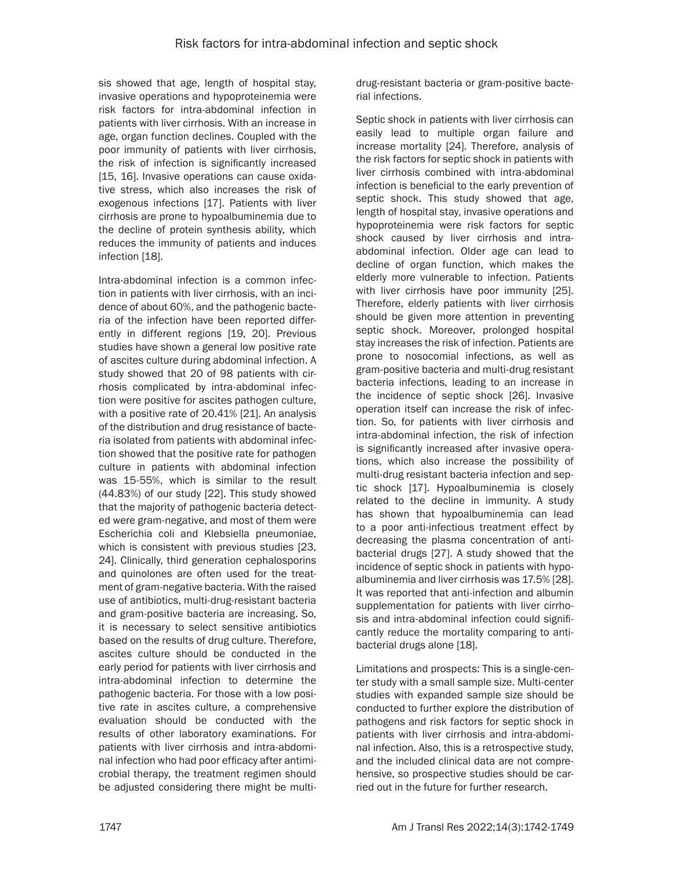sis showed that age, length of hospital stay, invasive operations and hypoproteinemia were risk factors for intra-abdominal infection in patients with liver cirrhosis. With an increase in age, organ function declines. Coupled with the poor immunity of patients with liver cirrhosis, the risk of infection is significantly increased [15, 16]. Invasive operations can cause oxidative stress, which also increases the risk of exogenous infections [17]. Patients with liver cirrhosis are prone to hypoalbuminemia due to the decline of protein synthesis ability, which reduces the immunity of patients and induces infection [18].

Intra-abdominal infection is a common infection in patients with liver cirrhosis, with an incidence of about 60%, and the pathogenic bacteria of the infection have been reported differently in different regions [19, 20]. Previous studies have shown a general low positive rate of ascites culture during abdominal infection. A study showed that 20 of 98 patients with cirrhosis complicated by intra-abdominal infection were positive for ascites pathogen culture, with a positive rate of 20.41% [21]. An analysis of the distribution and drug resistance of bacteria isolated from patients with abdominal infection showed that the positive rate for pathogen culture in patients with abdominal infection was 15-55%, which is similar to the result (44.83%) of our study [22]. This study showed that the majority of pathogenic bacteria detected were gram-negative, and most of them were Escherichia coli and Klebsiella pneumoniae, which is consistent with previous studies [23, 24]. Clinically, third generation cephalosporins and quinolones are often used for the treatment of gram-negative bacteria. With the raised use of antibiotics, multi-drug-resistant bacteria and gram-positive bacteria are increasing. So, it is necessary to select sensitive antibiotics based on the results of drug culture. Therefore, ascites culture should be conducted in the early period for patients with liver cirrhosis and intra-abdominal infection to determine the pathogenic bacteria. For those with a low positive rate in ascites culture, a comprehensive evaluation should be conducted with the results of other laboratory examinations. For patients with liver cirrhosis and intra-abdominal infection who had poor efficacy after antimicrobial therapy, the treatment regimen should be adjusted considering there might be multidrug-resistant bacteria or gram-positive bacterial infections.

Septic shock in patients with liver cirrhosis can easily lead to multiple organ failure and increase mortality [24]. Therefore, analysis of the risk factors for septic shock in patients with liver cirrhosis combined with intra-abdominal infection is beneficial to the early prevention of septic shock. This study showed that age, length of hospital stay, invasive operations and hypoproteinemia were risk factors for septic shock caused by liver cirrhosis and intraabdominal infection. Older age can lead to decline of organ function, which makes the elderly more vulnerable to infection. Patients with liver cirrhosis have poor immunity [25]. Therefore, elderly patients with liver cirrhosis should be given more attention in preventing septic shock. Moreover, prolonged hospital stay increases the risk of infection. Patients are prone to nosocomial infections, as well as gram-positive bacteria and multi-drug resistant bacteria infections, leading to an increase in the incidence of septic shock [26]. Invasive operation itself can increase the risk of infection. So, for patients with liver cirrhosis and intra-abdominal infection, the risk of infection is significantly increased after invasive operations, which also increase the possibility of multi-drug resistant bacteria infection and septic shock [17]. Hypoalbuminemia is closely related to the decline in immunity. A study has shown that hypoalbuminemia can lead to a poor anti-infectious treatment effect by decreasing the plasma concentration of antibacterial drugs [27]. A study showed that the incidence of septic shock in patients with hypoalbuminemia and liver cirrhosis was 17.5% [28]. It was reported that anti-infection and albumin supplementation for patients with liver cirrhosis and intra-abdominal infection could significantly reduce the mortality comparing to antibacterial drugs alone [18].

Limitations and prospects: This is a single-center study with a small sample size. Multi-center studies with expanded sample size should be conducted to further explore the distribution of pathogens and risk factors for septic shock in patients with liver cirrhosis and intra-abdominal infection. Also, this is a retrospective study, and the included clinical data are not comprehensive, so prospective studies should be carried out in the future for further research.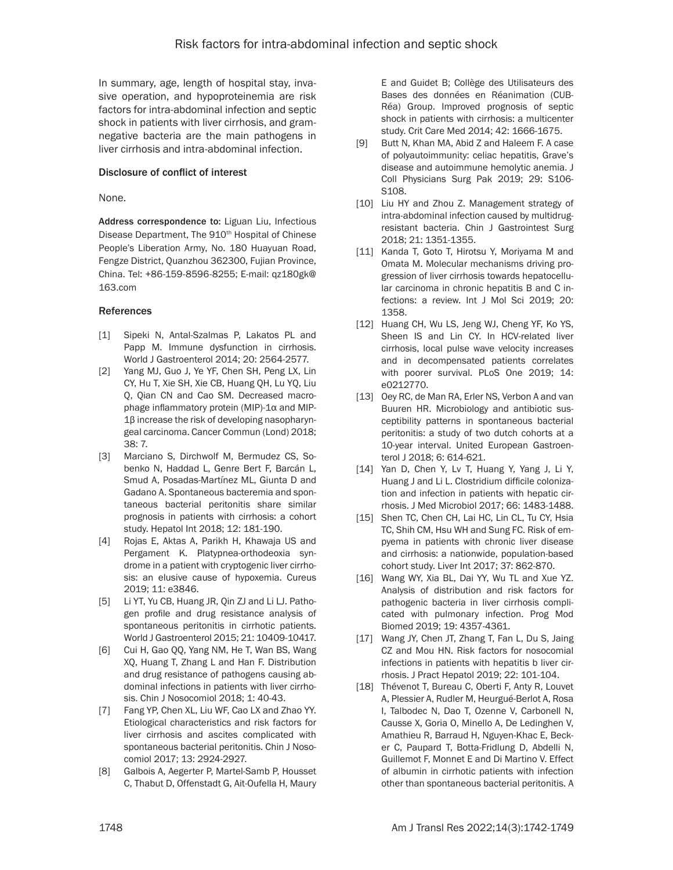In summary, age, length of hospital stay, invasive operation, and hypoproteinemia are risk factors for intra-abdominal infection and septic shock in patients with liver cirrhosis, and gramnegative bacteria are the main pathogens in liver cirrhosis and intra-abdominal infection.

### Disclosure of conflict of interest

None.

Address correspondence to: Liguan Liu, Infectious Disease Department, The 910<sup>th</sup> Hospital of Chinese People's Liberation Army, No. 180 Huayuan Road, Fengze District, Quanzhou 362300, Fujian Province, China. Tel: +86-159-8596-8255; E-mail: [qz180gk@](mailto:qz180gk@163.com) [163.com](mailto:qz180gk@163.com)

### References

- [1] Sipeki N, Antal-Szalmas P, Lakatos PL and Papp M. Immune dysfunction in cirrhosis. World J Gastroenterol 2014; 20: 2564-2577.
- [2] Yang MJ, Guo J, Ye YF, Chen SH, Peng LX, Lin CY, Hu T, Xie SH, Xie CB, Huang QH, Lu YQ, Liu Q, Qian CN and Cao SM. Decreased macrophage inflammatory protein (MIP)-1α and MIP-1β increase the risk of developing nasopharyngeal carcinoma. Cancer Commun (Lond) 2018; 38: 7.
- [3] Marciano S, Dirchwolf M, Bermudez CS, Sobenko N, Haddad L, Genre Bert F, Barcán L, Smud A, Posadas-Martínez ML, Giunta D and Gadano A. Spontaneous bacteremia and spontaneous bacterial peritonitis share similar prognosis in patients with cirrhosis: a cohort study. Hepatol Int 2018; 12: 181-190.
- [4] Rojas E, Aktas A, Parikh H, Khawaja US and Pergament K. Platypnea-orthodeoxia syndrome in a patient with cryptogenic liver cirrhosis: an elusive cause of hypoxemia. Cureus 2019; 11: e3846.
- [5] Li YT, Yu CB, Huang JR, Qin ZJ and Li LJ. Pathogen profile and drug resistance analysis of spontaneous peritonitis in cirrhotic patients. World J Gastroenterol 2015; 21: 10409-10417.
- [6] Cui H, Gao QQ, Yang NM, He T, Wan BS, Wang XQ, Huang T, Zhang L and Han F. Distribution and drug resistance of pathogens causing abdominal infections in patients with liver cirrhosis. Chin J Nosocomiol 2018; 1: 40-43.
- [7] Fang YP, Chen XL, Liu WF, Cao LX and Zhao YY. Etiological characteristics and risk factors for liver cirrhosis and ascites complicated with spontaneous bacterial peritonitis. Chin J Nosocomiol 2017; 13: 2924-2927.
- [8] Galbois A, Aegerter P, Martel-Samb P, Housset C, Thabut D, Offenstadt G, Ait-Oufella H, Maury

E and Guidet B; Collège des Utilisateurs des Bases des données en Réanimation (CUB-Réa) Group. Improved prognosis of septic shock in patients with cirrhosis: a multicenter study. Crit Care Med 2014; 42: 1666-1675.

- [9] Butt N, Khan MA, Abid Z and Haleem F. A case of polyautoimmunity: celiac hepatitis, Grave's disease and autoimmune hemolytic anemia. J Coll Physicians Surg Pak 2019; 29: S106- S108.
- [10] Liu HY and Zhou Z. Management strategy of intra-abdominal infection caused by multidrugresistant bacteria. Chin J Gastrointest Surg 2018; 21: 1351-1355.
- [11] Kanda T, Goto T, Hirotsu Y, Moriyama M and Omata M. Molecular mechanisms driving progression of liver cirrhosis towards hepatocellular carcinoma in chronic hepatitis B and C infections: a review. Int J Mol Sci 2019; 20: 1358.
- [12] Huang CH, Wu LS, Jeng WJ, Cheng YF, Ko YS, Sheen IS and Lin CY. In HCV-related liver cirrhosis, local pulse wave velocity increases and in decompensated patients correlates with poorer survival. PLoS One 2019; 14: e0212770.
- [13] Oey RC, de Man RA, Erler NS, Verbon A and van Buuren HR. Microbiology and antibiotic susceptibility patterns in spontaneous bacterial peritonitis: a study of two dutch cohorts at a 10-year interval. United European Gastroenterol J 2018; 6: 614-621.
- [14] Yan D, Chen Y, Lv T, Huang Y, Yang J, Li Y, Huang J and Li L. Clostridium difficile colonization and infection in patients with hepatic cirrhosis. J Med Microbiol 2017; 66: 1483-1488.
- [15] Shen TC, Chen CH, Lai HC, Lin CL, Tu CY, Hsia TC, Shih CM, Hsu WH and Sung FC. Risk of empyema in patients with chronic liver disease and cirrhosis: a nationwide, population-based cohort study. Liver Int 2017; 37: 862-870.
- [16] Wang WY, Xia BL, Dai YY, Wu TL and Xue YZ. Analysis of distribution and risk factors for pathogenic bacteria in liver cirrhosis complicated with pulmonary infection. Prog Mod Biomed 2019; 19: 4357-4361.
- [17] Wang JY, Chen JT, Zhang T, Fan L, Du S, Jaing CZ and Mou HN. Risk factors for nosocomial infections in patients with hepatitis b liver cirrhosis. J Pract Hepatol 2019; 22: 101-104.
- [18] Thévenot T, Bureau C, Oberti F, Anty R, Louvet A, Plessier A, Rudler M, Heurgué-Berlot A, Rosa I, Talbodec N, Dao T, Ozenne V, Carbonell N, Causse X, Goria O, Minello A, De Ledinghen V, Amathieu R, Barraud H, Nguyen-Khac E, Becker C, Paupard T, Botta-Fridlung D, Abdelli N, Guillemot F, Monnet E and Di Martino V. Effect of albumin in cirrhotic patients with infection other than spontaneous bacterial peritonitis. A